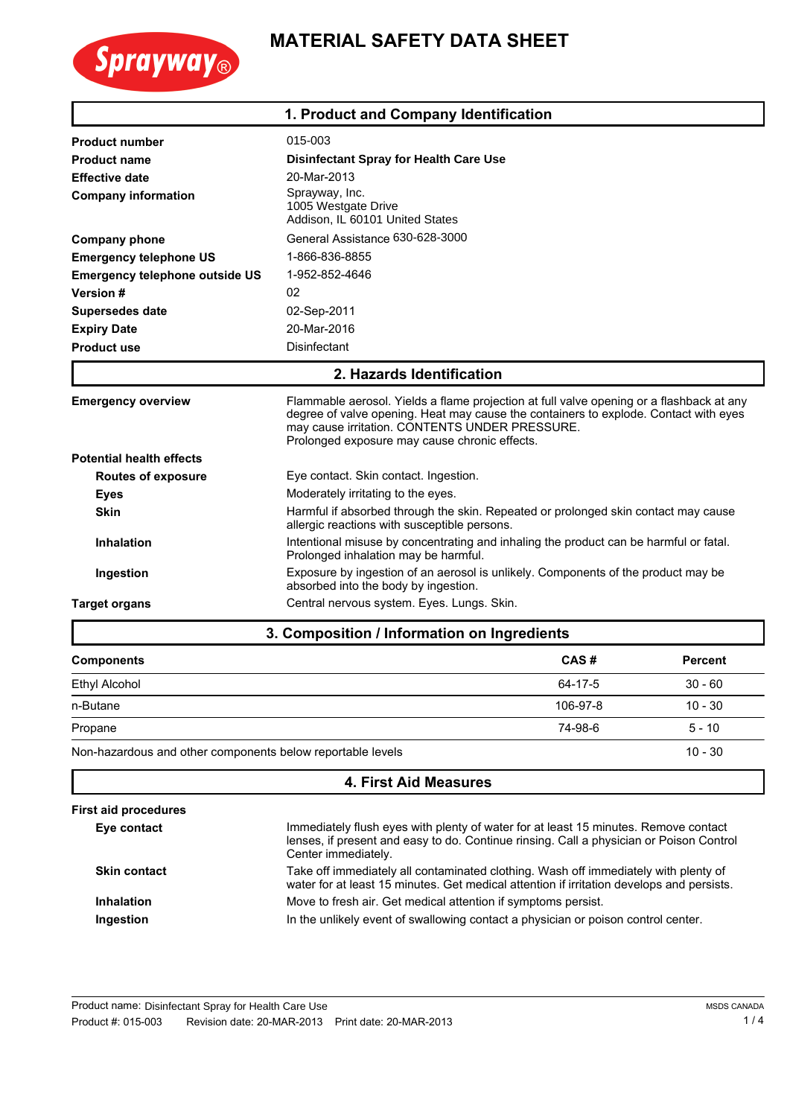

## **MATERIAL SAFETY DATA SHEET**

|                                       | 1. Product and Company Identification                                                                                                                                                                                                                                               |  |
|---------------------------------------|-------------------------------------------------------------------------------------------------------------------------------------------------------------------------------------------------------------------------------------------------------------------------------------|--|
| <b>Product number</b>                 | 015-003                                                                                                                                                                                                                                                                             |  |
| <b>Product name</b>                   | Disinfectant Spray for Health Care Use                                                                                                                                                                                                                                              |  |
| <b>Effective date</b>                 | 20-Mar-2013                                                                                                                                                                                                                                                                         |  |
| <b>Company information</b>            | Sprayway, Inc.<br>1005 Westgate Drive<br>Addison, IL 60101 United States                                                                                                                                                                                                            |  |
| <b>Company phone</b>                  | General Assistance 630-628-3000                                                                                                                                                                                                                                                     |  |
| <b>Emergency telephone US</b>         | 1-866-836-8855                                                                                                                                                                                                                                                                      |  |
| <b>Emergency telephone outside US</b> | 1-952-852-4646                                                                                                                                                                                                                                                                      |  |
| Version #                             | 02                                                                                                                                                                                                                                                                                  |  |
| <b>Supersedes date</b>                | 02-Sep-2011                                                                                                                                                                                                                                                                         |  |
| <b>Expiry Date</b>                    | 20-Mar-2016                                                                                                                                                                                                                                                                         |  |
| <b>Product use</b>                    | Disinfectant                                                                                                                                                                                                                                                                        |  |
|                                       | 2. Hazards Identification                                                                                                                                                                                                                                                           |  |
| <b>Emergency overview</b>             | Flammable aerosol. Yields a flame projection at full valve opening or a flashback at any<br>degree of valve opening. Heat may cause the containers to explode. Contact with eyes<br>may cause irritation. CONTENTS UNDER PRESSURE.<br>Prolonged exposure may cause chronic effects. |  |
| <b>Potential health effects</b>       |                                                                                                                                                                                                                                                                                     |  |
| <b>Routes of exposure</b>             | Eye contact. Skin contact. Ingestion.                                                                                                                                                                                                                                               |  |
| <b>Eyes</b>                           | Moderately irritating to the eyes.                                                                                                                                                                                                                                                  |  |
| <b>Skin</b>                           | Harmful if absorbed through the skin. Repeated or prolonged skin contact may cause<br>allergic reactions with susceptible persons.                                                                                                                                                  |  |
| <b>Inhalation</b>                     | Intentional misuse by concentrating and inhaling the product can be harmful or fatal.<br>Prolonged inhalation may be harmful.                                                                                                                                                       |  |
| Ingestion                             | Exposure by ingestion of an aerosol is unlikely. Components of the product may be<br>absorbed into the body by ingestion.                                                                                                                                                           |  |
| <b>Target organs</b>                  | Central nervous system. Eyes. Lungs. Skin.                                                                                                                                                                                                                                          |  |
|                                       | 3. Composition / Information on Ingredients                                                                                                                                                                                                                                         |  |

## **3. Composition / Information on Ingredients**

| <b>Components</b>                                          | CAS#     | <b>Percent</b> |
|------------------------------------------------------------|----------|----------------|
| <b>Ethyl Alcohol</b>                                       | 64-17-5  | $30 - 60$      |
| n-Butane                                                   | 106-97-8 | $10 - 30$      |
| Propane                                                    | 74-98-6  | $5 - 10$       |
| Non-hazardous and other components below reportable levels |          | $10 - 30$      |

| <b>4. First Aid Measures</b> |                                                                                                                                                                                                       |  |
|------------------------------|-------------------------------------------------------------------------------------------------------------------------------------------------------------------------------------------------------|--|
| <b>First aid procedures</b>  |                                                                                                                                                                                                       |  |
| Eye contact                  | Immediately flush eyes with plenty of water for at least 15 minutes. Remove contact<br>lenses, if present and easy to do. Continue rinsing. Call a physician or Poison Control<br>Center immediately. |  |
| <b>Skin contact</b>          | Take off immediately all contaminated clothing. Wash off immediately with plenty of<br>water for at least 15 minutes. Get medical attention if irritation develops and persists.                      |  |
| Inhalation                   | Move to fresh air. Get medical attention if symptoms persist.                                                                                                                                         |  |
| Ingestion                    | In the unlikely event of swallowing contact a physician or poison control center.                                                                                                                     |  |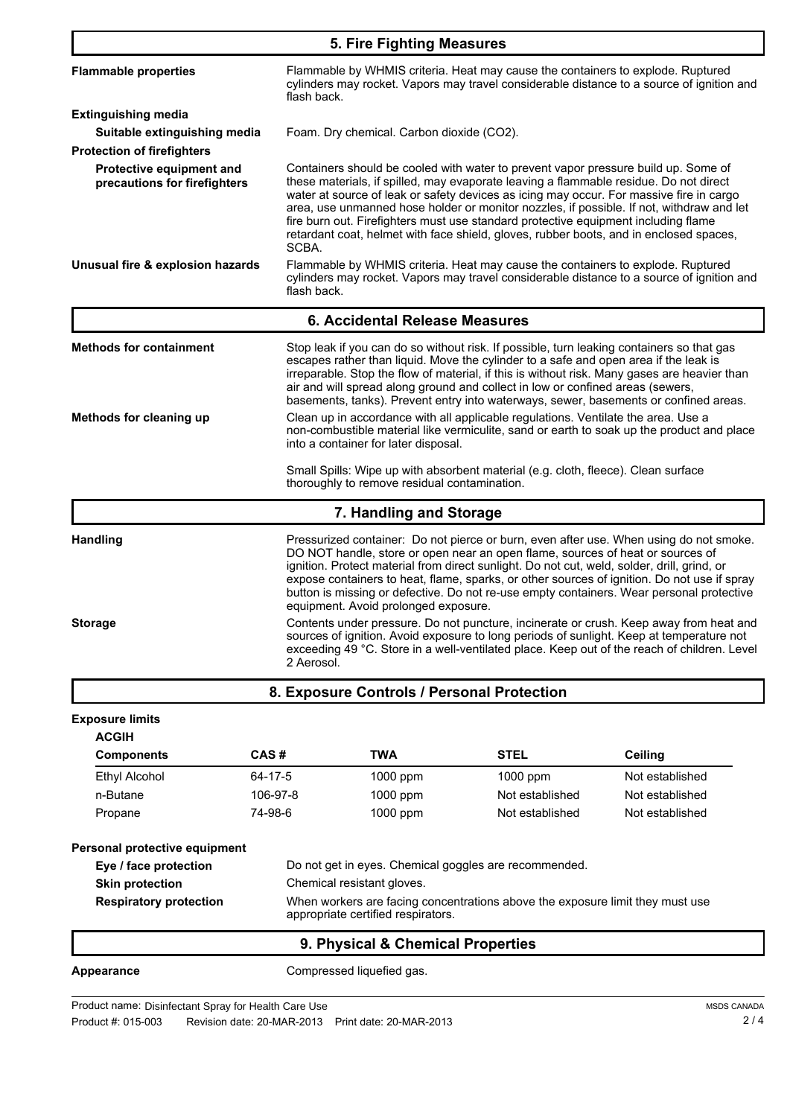| 5. Fire Fighting Measures                                         |                                                                                                                                                                                                                                                                                                                                                                                                                                                                                                                                                                                                                                                                                                                                                                                                               |                                                                                                                                                                                                                        |                                                                                                                                                                                                                                                                                                                                                                                                                                                        |                                                                                                                                                                                      |
|-------------------------------------------------------------------|---------------------------------------------------------------------------------------------------------------------------------------------------------------------------------------------------------------------------------------------------------------------------------------------------------------------------------------------------------------------------------------------------------------------------------------------------------------------------------------------------------------------------------------------------------------------------------------------------------------------------------------------------------------------------------------------------------------------------------------------------------------------------------------------------------------|------------------------------------------------------------------------------------------------------------------------------------------------------------------------------------------------------------------------|--------------------------------------------------------------------------------------------------------------------------------------------------------------------------------------------------------------------------------------------------------------------------------------------------------------------------------------------------------------------------------------------------------------------------------------------------------|--------------------------------------------------------------------------------------------------------------------------------------------------------------------------------------|
| <b>Flammable properties</b>                                       | flash back.                                                                                                                                                                                                                                                                                                                                                                                                                                                                                                                                                                                                                                                                                                                                                                                                   |                                                                                                                                                                                                                        | Flammable by WHMIS criteria. Heat may cause the containers to explode. Ruptured                                                                                                                                                                                                                                                                                                                                                                        | cylinders may rocket. Vapors may travel considerable distance to a source of ignition and                                                                                            |
| <b>Extinguishing media</b>                                        |                                                                                                                                                                                                                                                                                                                                                                                                                                                                                                                                                                                                                                                                                                                                                                                                               |                                                                                                                                                                                                                        |                                                                                                                                                                                                                                                                                                                                                                                                                                                        |                                                                                                                                                                                      |
| Suitable extinguishing media<br><b>Protection of firefighters</b> |                                                                                                                                                                                                                                                                                                                                                                                                                                                                                                                                                                                                                                                                                                                                                                                                               | Foam. Dry chemical. Carbon dioxide (CO2).                                                                                                                                                                              |                                                                                                                                                                                                                                                                                                                                                                                                                                                        |                                                                                                                                                                                      |
| Protective equipment and<br>precautions for firefighters          | SCBA.                                                                                                                                                                                                                                                                                                                                                                                                                                                                                                                                                                                                                                                                                                                                                                                                         |                                                                                                                                                                                                                        | Containers should be cooled with water to prevent vapor pressure build up. Some of<br>these materials, if spilled, may evaporate leaving a flammable residue. Do not direct<br>water at source of leak or safety devices as icing may occur. For massive fire in cargo<br>fire burn out. Firefighters must use standard protective equipment including flame<br>retardant coat, helmet with face shield, gloves, rubber boots, and in enclosed spaces, | area, use unmanned hose holder or monitor nozzles, if possible. If not, withdraw and let                                                                                             |
| Unusual fire & explosion hazards                                  | flash back.                                                                                                                                                                                                                                                                                                                                                                                                                                                                                                                                                                                                                                                                                                                                                                                                   |                                                                                                                                                                                                                        | Flammable by WHMIS criteria. Heat may cause the containers to explode. Ruptured                                                                                                                                                                                                                                                                                                                                                                        | cylinders may rocket. Vapors may travel considerable distance to a source of ignition and                                                                                            |
|                                                                   |                                                                                                                                                                                                                                                                                                                                                                                                                                                                                                                                                                                                                                                                                                                                                                                                               | 6. Accidental Release Measures                                                                                                                                                                                         |                                                                                                                                                                                                                                                                                                                                                                                                                                                        |                                                                                                                                                                                      |
| <b>Methods for containment</b>                                    |                                                                                                                                                                                                                                                                                                                                                                                                                                                                                                                                                                                                                                                                                                                                                                                                               |                                                                                                                                                                                                                        | Stop leak if you can do so without risk. If possible, turn leaking containers so that gas<br>escapes rather than liquid. Move the cylinder to a safe and open area if the leak is<br>air and will spread along ground and collect in low or confined areas (sewers,                                                                                                                                                                                    | irreparable. Stop the flow of material, if this is without risk. Many gases are heavier than<br>basements, tanks). Prevent entry into waterways, sewer, basements or confined areas. |
| Methods for cleaning up                                           |                                                                                                                                                                                                                                                                                                                                                                                                                                                                                                                                                                                                                                                                                                                                                                                                               | Clean up in accordance with all applicable regulations. Ventilate the area. Use a<br>non-combustible material like vermiculite, sand or earth to soak up the product and place<br>into a container for later disposal. |                                                                                                                                                                                                                                                                                                                                                                                                                                                        |                                                                                                                                                                                      |
|                                                                   |                                                                                                                                                                                                                                                                                                                                                                                                                                                                                                                                                                                                                                                                                                                                                                                                               | thoroughly to remove residual contamination.                                                                                                                                                                           | Small Spills: Wipe up with absorbent material (e.g. cloth, fleece). Clean surface                                                                                                                                                                                                                                                                                                                                                                      |                                                                                                                                                                                      |
|                                                                   |                                                                                                                                                                                                                                                                                                                                                                                                                                                                                                                                                                                                                                                                                                                                                                                                               | 7. Handling and Storage                                                                                                                                                                                                |                                                                                                                                                                                                                                                                                                                                                                                                                                                        |                                                                                                                                                                                      |
| <b>Handling</b><br><b>Storage</b>                                 | Pressurized container: Do not pierce or burn, even after use. When using do not smoke.<br>DO NOT handle, store or open near an open flame, sources of heat or sources of<br>ignition. Protect material from direct sunlight. Do not cut, weld, solder, drill, grind, or<br>expose containers to heat, flame, sparks, or other sources of ignition. Do not use if spray<br>button is missing or defective. Do not re-use empty containers. Wear personal protective<br>equipment. Avoid prolonged exposure.<br>Contents under pressure. Do not puncture, incinerate or crush. Keep away from heat and<br>sources of ignition. Avoid exposure to long periods of sunlight. Keep at temperature not<br>exceeding 49 °C. Store in a well-ventilated place. Keep out of the reach of children. Level<br>2 Aerosol. |                                                                                                                                                                                                                        |                                                                                                                                                                                                                                                                                                                                                                                                                                                        |                                                                                                                                                                                      |
|                                                                   |                                                                                                                                                                                                                                                                                                                                                                                                                                                                                                                                                                                                                                                                                                                                                                                                               |                                                                                                                                                                                                                        |                                                                                                                                                                                                                                                                                                                                                                                                                                                        |                                                                                                                                                                                      |
|                                                                   |                                                                                                                                                                                                                                                                                                                                                                                                                                                                                                                                                                                                                                                                                                                                                                                                               | 8. Exposure Controls / Personal Protection                                                                                                                                                                             |                                                                                                                                                                                                                                                                                                                                                                                                                                                        |                                                                                                                                                                                      |
| <b>Exposure limits</b>                                            |                                                                                                                                                                                                                                                                                                                                                                                                                                                                                                                                                                                                                                                                                                                                                                                                               |                                                                                                                                                                                                                        |                                                                                                                                                                                                                                                                                                                                                                                                                                                        |                                                                                                                                                                                      |
| <b>ACGIH</b>                                                      | CAS#                                                                                                                                                                                                                                                                                                                                                                                                                                                                                                                                                                                                                                                                                                                                                                                                          | <b>TWA</b>                                                                                                                                                                                                             | <b>STEL</b>                                                                                                                                                                                                                                                                                                                                                                                                                                            |                                                                                                                                                                                      |
| <b>Components</b>                                                 |                                                                                                                                                                                                                                                                                                                                                                                                                                                                                                                                                                                                                                                                                                                                                                                                               |                                                                                                                                                                                                                        |                                                                                                                                                                                                                                                                                                                                                                                                                                                        | Ceiling                                                                                                                                                                              |
| <b>Ethyl Alcohol</b><br>n-Butane                                  | 64-17-5<br>106-97-8                                                                                                                                                                                                                                                                                                                                                                                                                                                                                                                                                                                                                                                                                                                                                                                           | 1000 ppm<br>1000 ppm                                                                                                                                                                                                   | 1000 ppm<br>Not established                                                                                                                                                                                                                                                                                                                                                                                                                            | Not established<br>Not established                                                                                                                                                   |
| Propane                                                           | 74-98-6                                                                                                                                                                                                                                                                                                                                                                                                                                                                                                                                                                                                                                                                                                                                                                                                       | 1000 ppm                                                                                                                                                                                                               | Not established                                                                                                                                                                                                                                                                                                                                                                                                                                        | Not established                                                                                                                                                                      |
|                                                                   |                                                                                                                                                                                                                                                                                                                                                                                                                                                                                                                                                                                                                                                                                                                                                                                                               |                                                                                                                                                                                                                        |                                                                                                                                                                                                                                                                                                                                                                                                                                                        |                                                                                                                                                                                      |
| Personal protective equipment                                     |                                                                                                                                                                                                                                                                                                                                                                                                                                                                                                                                                                                                                                                                                                                                                                                                               |                                                                                                                                                                                                                        |                                                                                                                                                                                                                                                                                                                                                                                                                                                        |                                                                                                                                                                                      |
| Eye / face protection                                             | Do not get in eyes. Chemical goggles are recommended.                                                                                                                                                                                                                                                                                                                                                                                                                                                                                                                                                                                                                                                                                                                                                         |                                                                                                                                                                                                                        |                                                                                                                                                                                                                                                                                                                                                                                                                                                        |                                                                                                                                                                                      |
| <b>Skin protection</b>                                            | Chemical resistant gloves.                                                                                                                                                                                                                                                                                                                                                                                                                                                                                                                                                                                                                                                                                                                                                                                    |                                                                                                                                                                                                                        |                                                                                                                                                                                                                                                                                                                                                                                                                                                        |                                                                                                                                                                                      |
| <b>Respiratory protection</b>                                     |                                                                                                                                                                                                                                                                                                                                                                                                                                                                                                                                                                                                                                                                                                                                                                                                               | appropriate certified respirators.                                                                                                                                                                                     | When workers are facing concentrations above the exposure limit they must use                                                                                                                                                                                                                                                                                                                                                                          |                                                                                                                                                                                      |
|                                                                   |                                                                                                                                                                                                                                                                                                                                                                                                                                                                                                                                                                                                                                                                                                                                                                                                               | 9. Physical & Chemical Properties                                                                                                                                                                                      |                                                                                                                                                                                                                                                                                                                                                                                                                                                        |                                                                                                                                                                                      |
| Appearance                                                        |                                                                                                                                                                                                                                                                                                                                                                                                                                                                                                                                                                                                                                                                                                                                                                                                               | Compressed liquefied gas.                                                                                                                                                                                              |                                                                                                                                                                                                                                                                                                                                                                                                                                                        |                                                                                                                                                                                      |

Product name: Disinfectant Spray for Health Care Use

Product #: 015-003 Revision date: 20-MAR-2013 Print date: 20-MAR-2013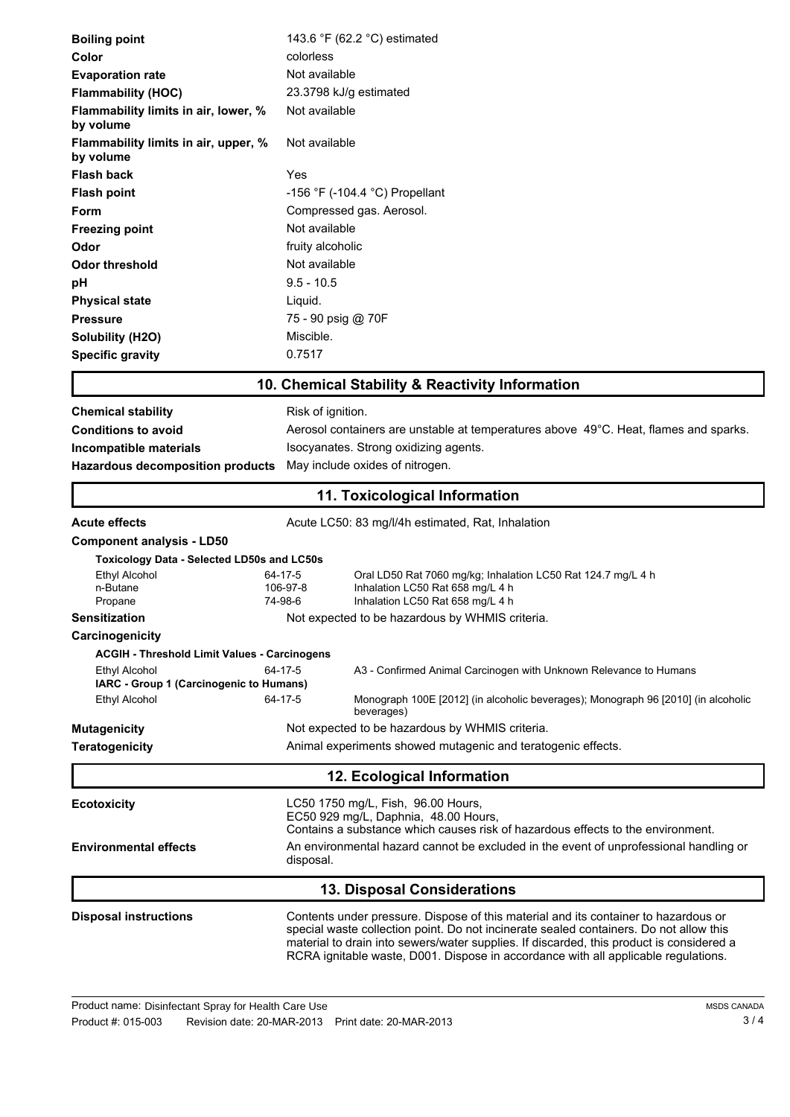| <b>Boiling point</b>                                                                                                                          | 143.6 $\degree$ F (62.2 $\degree$ C) estimated                                                                                                                                                                                                                                                                                                                  |  |  |
|-----------------------------------------------------------------------------------------------------------------------------------------------|-----------------------------------------------------------------------------------------------------------------------------------------------------------------------------------------------------------------------------------------------------------------------------------------------------------------------------------------------------------------|--|--|
| Color                                                                                                                                         | colorless                                                                                                                                                                                                                                                                                                                                                       |  |  |
| <b>Evaporation rate</b>                                                                                                                       | Not available                                                                                                                                                                                                                                                                                                                                                   |  |  |
| <b>Flammability (HOC)</b>                                                                                                                     | 23.3798 kJ/g estimated                                                                                                                                                                                                                                                                                                                                          |  |  |
| Flammability limits in air, lower, %<br>by volume                                                                                             | Not available                                                                                                                                                                                                                                                                                                                                                   |  |  |
| Flammability limits in air, upper, %<br>by volume                                                                                             | Not available                                                                                                                                                                                                                                                                                                                                                   |  |  |
| <b>Flash back</b>                                                                                                                             | Yes                                                                                                                                                                                                                                                                                                                                                             |  |  |
| <b>Flash point</b>                                                                                                                            | -156 °F (-104.4 °C) Propellant                                                                                                                                                                                                                                                                                                                                  |  |  |
| Form                                                                                                                                          | Compressed gas. Aerosol.                                                                                                                                                                                                                                                                                                                                        |  |  |
| <b>Freezing point</b>                                                                                                                         | Not available                                                                                                                                                                                                                                                                                                                                                   |  |  |
| Odor                                                                                                                                          | fruity alcoholic                                                                                                                                                                                                                                                                                                                                                |  |  |
| <b>Odor threshold</b>                                                                                                                         | Not available                                                                                                                                                                                                                                                                                                                                                   |  |  |
| рH                                                                                                                                            | $9.5 - 10.5$                                                                                                                                                                                                                                                                                                                                                    |  |  |
| <b>Physical state</b>                                                                                                                         | Liquid.                                                                                                                                                                                                                                                                                                                                                         |  |  |
| <b>Pressure</b>                                                                                                                               | 75 - 90 psig @ 70F                                                                                                                                                                                                                                                                                                                                              |  |  |
| Solubility (H2O)                                                                                                                              | Miscible.                                                                                                                                                                                                                                                                                                                                                       |  |  |
| <b>Specific gravity</b>                                                                                                                       | 0.7517                                                                                                                                                                                                                                                                                                                                                          |  |  |
|                                                                                                                                               | 10. Chemical Stability & Reactivity Information                                                                                                                                                                                                                                                                                                                 |  |  |
| <b>Chemical stability</b>                                                                                                                     | Risk of ignition.                                                                                                                                                                                                                                                                                                                                               |  |  |
| <b>Conditions to avoid</b>                                                                                                                    |                                                                                                                                                                                                                                                                                                                                                                 |  |  |
|                                                                                                                                               | Aerosol containers are unstable at temperatures above 49°C. Heat, flames and sparks.                                                                                                                                                                                                                                                                            |  |  |
| Isocyanates. Strong oxidizing agents.<br>Incompatible materials<br>May include oxides of nitrogen.<br><b>Hazardous decomposition products</b> |                                                                                                                                                                                                                                                                                                                                                                 |  |  |
|                                                                                                                                               |                                                                                                                                                                                                                                                                                                                                                                 |  |  |
|                                                                                                                                               | 11. Toxicological Information                                                                                                                                                                                                                                                                                                                                   |  |  |
| <b>Acute effects</b>                                                                                                                          | Acute LC50: 83 mg/l/4h estimated, Rat, Inhalation                                                                                                                                                                                                                                                                                                               |  |  |
| <b>Component analysis - LD50</b>                                                                                                              |                                                                                                                                                                                                                                                                                                                                                                 |  |  |
| <b>Toxicology Data - Selected LD50s and LC50s</b>                                                                                             |                                                                                                                                                                                                                                                                                                                                                                 |  |  |
| <b>Ethyl Alcohol</b><br>n-Butane                                                                                                              | Oral LD50 Rat 7060 mg/kg; Inhalation LC50 Rat 124.7 mg/L 4 h<br>64-17-5<br>Inhalation LC50 Rat 658 mg/L 4 h<br>106-97-8                                                                                                                                                                                                                                         |  |  |
| Propane                                                                                                                                       | 74-98-6<br>Inhalation LC50 Rat 658 mg/L 4 h                                                                                                                                                                                                                                                                                                                     |  |  |
| <b>Sensitization</b>                                                                                                                          | Not expected to be hazardous by WHMIS criteria.                                                                                                                                                                                                                                                                                                                 |  |  |
| Carcinogenicity                                                                                                                               |                                                                                                                                                                                                                                                                                                                                                                 |  |  |
| <b>ACGIH - Threshold Limit Values - Carcinogens</b>                                                                                           |                                                                                                                                                                                                                                                                                                                                                                 |  |  |
| Ethyl Alcohol                                                                                                                                 | 64-17-5<br>A3 - Confirmed Animal Carcinogen with Unknown Relevance to Humans                                                                                                                                                                                                                                                                                    |  |  |
| IARC - Group 1 (Carcinogenic to Humans)                                                                                                       |                                                                                                                                                                                                                                                                                                                                                                 |  |  |
| Ethyl Alcohol                                                                                                                                 | 64-17-5<br>Monograph 100E [2012] (in alcoholic beverages); Monograph 96 [2010] (in alcoholic<br>beverages)                                                                                                                                                                                                                                                      |  |  |
| <b>Mutagenicity</b>                                                                                                                           | Not expected to be hazardous by WHMIS criteria.                                                                                                                                                                                                                                                                                                                 |  |  |
| <b>Teratogenicity</b>                                                                                                                         | Animal experiments showed mutagenic and teratogenic effects.                                                                                                                                                                                                                                                                                                    |  |  |
|                                                                                                                                               | 12. Ecological Information                                                                                                                                                                                                                                                                                                                                      |  |  |
| <b>Ecotoxicity</b>                                                                                                                            | LC50 1750 mg/L, Fish, 96.00 Hours,<br>EC50 929 mg/L, Daphnia, 48.00 Hours,                                                                                                                                                                                                                                                                                      |  |  |
| <b>Environmental effects</b>                                                                                                                  | Contains a substance which causes risk of hazardous effects to the environment.<br>An environmental hazard cannot be excluded in the event of unprofessional handling or                                                                                                                                                                                        |  |  |
|                                                                                                                                               | disposal.                                                                                                                                                                                                                                                                                                                                                       |  |  |
|                                                                                                                                               | <b>13. Disposal Considerations</b>                                                                                                                                                                                                                                                                                                                              |  |  |
| <b>Disposal instructions</b>                                                                                                                  | Contents under pressure. Dispose of this material and its container to hazardous or<br>special waste collection point. Do not incinerate sealed containers. Do not allow this<br>material to drain into sewers/water supplies. If discarded, this product is considered a<br>RCRA ignitable waste, D001. Dispose in accordance with all applicable regulations. |  |  |